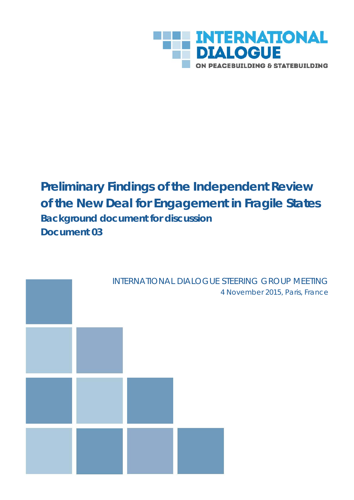

# **Preliminary Findings of the Independent Review of the New Deal for Engagement in Fragile States** *Background document for discussion Document 03*

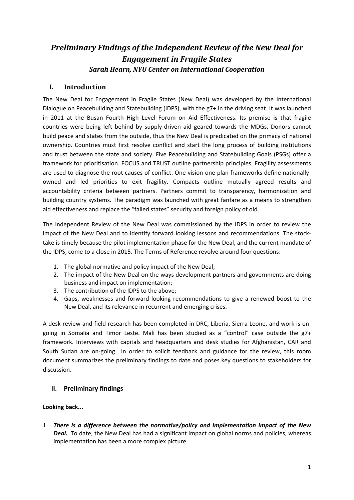# *Preliminary Findings of the Independent Review of the New Deal for Engagement in Fragile States Sarah Hearn, NYU Center on International Cooperation*

# **I. Introduction**

The New Deal for Engagement in Fragile States (New Deal) was developed by the International Dialogue on Peacebuilding and Statebuilding (IDPS), with the g7+ in the driving seat. It was launched in 2011 at the Busan Fourth High Level Forum on Aid Effectiveness. Its premise is that fragile countries were being left behind by supply-driven aid geared towards the MDGs. Donors cannot build peace and states from the outside, thus the New Deal is predicated on the primacy of national ownership. Countries must first resolve conflict and start the long process of building institutions and trust between the state and society. Five Peacebuilding and Statebuilding Goals (PSGs) offer a framework for prioritisation. FOCUS and TRUST outline partnership principles. Fragility assessments are used to diagnose the root causes of conflict. One vision-one plan frameworks define nationallyowned and led priorities to exit fragility. Compacts outline mutually agreed results and accountability criteria between partners. Partners commit to transparency, harmonization and building country systems. The paradigm was launched with great fanfare as a means to strengthen aid effectiveness and replace the "failed states" security and foreign policy of old.

The Independent Review of the New Deal was commissioned by the IDPS in order to review the impact of the New Deal and to identify forward looking lessons and recommendations. The stocktake is timely because the pilot implementation phase for the New Deal, and the current mandate of the IDPS, come to a close in 2015. The Terms of Reference revolve around four questions:

- 1. The global normative and policy impact of the New Deal;
- 2. The impact of the New Deal on the ways development partners and governments are doing business and impact on implementation;
- 3. The contribution of the IDPS to the above;
- 4. Gaps, weaknesses and forward looking recommendations to give a renewed boost to the New Deal, and its relevance in recurrent and emerging crises.

A desk review and field research has been completed in DRC, Liberia, Sierra Leone, and work is ongoing in Somalia and Timor Leste. Mali has been studied as a "control" case outside the g7+ framework. Interviews with capitals and headquarters and desk studies for Afghanistan, CAR and South Sudan are on-going. In order to solicit feedback and guidance for the review, this room document summarizes the preliminary findings to date and poses key questions to stakeholders for discussion.

# **II. Preliminary findings**

# **Looking back...**

1. *There is a difference between the normative/policy and implementation impact of the New Deal***.** To date, the New Deal has had a significant impact on global norms and policies, whereas implementation has been a more complex picture.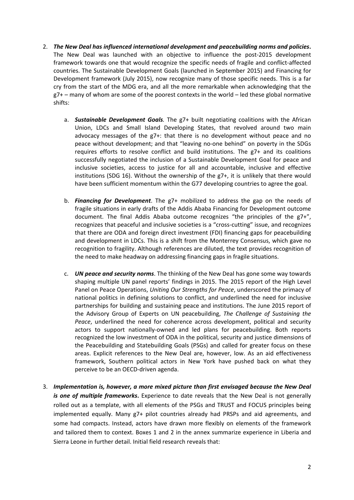- 2. *The New Deal has influenced international development and peacebuilding norms and policies***.**  The New Deal was launched with an objective to influence the post-2015 development framework towards one that would recognize the specific needs of fragile and conflict-affected countries. The Sustainable Development Goals (launched in September 2015) and Financing for Development framework (July 2015), now recognize many of those specific needs. This is a far cry from the start of the MDG era, and all the more remarkable when acknowledging that the  $g7+$  – many of whom are some of the poorest contexts in the world – led these global normative shifts:
	- a. *Sustainable Development Goals.* The g7+ built negotiating coalitions with the African Union, LDCs and Small Island Developing States, that revolved around two main advocacy messages of the g7+: that there is no development without peace and no peace without development; and that "leaving no-one behind" on poverty in the SDGs requires efforts to resolve conflict and build institutions. The g7+ and its coalitions successfully negotiated the inclusion of a Sustainable Development Goal for peace and inclusive societies, access to justice for all and accountable, inclusive and effective institutions (SDG 16). Without the ownership of the g7+, it is unlikely that there would have been sufficient momentum within the G77 developing countries to agree the goal.
	- b. *Financing for Development*. The g7+ mobilized to address the gap on the needs of fragile situations in early drafts of the Addis Ababa Financing for Development outcome document. The final Addis Ababa outcome recognizes "the principles of the g7+", recognizes that peaceful and inclusive societies is a "cross-cutting" issue, and recognizes that there are ODA and foreign direct investment (FDI) financing gaps for peacebuilding and development in LDCs. This is a shift from the Monterrey Consensus, which gave no recognition to fragility. Although references are diluted, the text provides recognition of the need to make headway on addressing financing gaps in fragile situations.
	- c. *UN peace and security norms*. The thinking of the New Deal has gone some way towards shaping multiple UN panel reports' findings in 2015. The 2015 report of the High Level Panel on Peace Operations, *Uniting Our Strengths for Peace*, underscored the primacy of national politics in defining solutions to conflict, and underlined the need for inclusive partnerships for building and sustaining peace and institutions. The June 2015 report of the Advisory Group of Experts on UN peacebuilding, *The Challenge of Sustaining the Peace*, underlined the need for coherence across development, political and security actors to support nationally-owned and led plans for peacebuilding. Both reports recognized the low investment of ODA in the political, security and justice dimensions of the Peacebuilding and Statebuilding Goals (PSGs) and called for greater focus on these areas. Explicit references to the New Deal are, however, low. As an aid effectiveness framework, Southern political actors in New York have pushed back on what they perceive to be an OECD-driven agenda.
- 3. *Implementation is, however, a more mixed picture than first envisaged because the New Deal is one of multiple frameworks***.** Experience to date reveals that the New Deal is not generally rolled out as a template, with all elements of the PSGs and TRUST and FOCUS principles being implemented equally. Many g7+ pilot countries already had PRSPs and aid agreements, and some had compacts. Instead, actors have drawn more flexibly on elements of the framework and tailored them to context. Boxes 1 and 2 in the annex summarize experience in Liberia and Sierra Leone in further detail. Initial field research reveals that: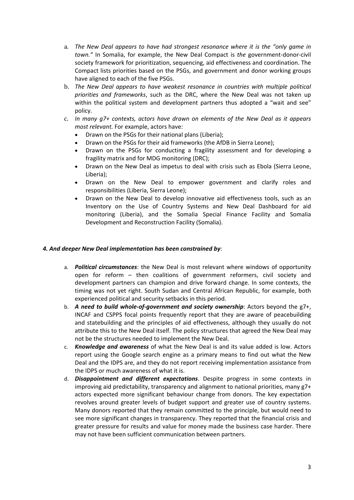- a. *The New Deal appears to have had strongest resonance where it is the "only game in town."* In Somalia, for example, the New Deal Compact is *the* government-donor-civil society framework for prioritization, sequencing, aid effectiveness and coordination. The Compact lists priorities based on the PSGs, and government and donor working groups have aligned to each of the five PSGs.
- b. *The New Deal appears to have weakest resonance in countries with multiple political priorities and frameworks*, such as the DRC, where the New Deal was not taken up within the political system and development partners thus adopted a "wait and see" policy.
- c. *In many g7+ contexts, actors have drawn on elements of the New Deal as it appears most relevant.* For example, actors have:
	- Drawn on the PSGs for their national plans (Liberia);
	- Drawn on the PSGs for their aid frameworks (the AfDB in Sierra Leone);
	- Drawn on the PSGs for conducting a fragility assessment and for developing a fragility matrix and for MDG monitoring (DRC);
	- Drawn on the New Deal as impetus to deal with crisis such as Ebola (Sierra Leone, Liberia);
	- Drawn on the New Deal to empower government and clarify roles and responsibilities (Liberia, Sierra Leone);
	- Drawn on the New Deal to develop innovative aid effectiveness tools, such as an Inventory on the Use of Country Systems and New Deal Dashboard for aid monitoring (Liberia), and the Somalia Special Finance Facility and Somalia Development and Reconstruction Facility (Somalia).

#### *4. And deeper New Deal implementation has been constrained by*:

- a. *Political circumstances*: the New Deal is most relevant where windows of opportunity open for reform – then coalitions of government reformers, civil society and development partners can champion and drive forward change. In some contexts, the timing was not yet right. South Sudan and Central African Republic, for example, both experienced political and security setbacks in this period.
- b. *A need to build whole-of-government and society ownership*: Actors beyond the g7+, INCAF and CSPPS focal points frequently report that they are aware of peacebuilding and statebuilding and the principles of aid effectiveness, although they usually do not attribute this to the New Deal itself. The policy structures that agreed the New Deal may not be the structures needed to implement the New Deal.
- c. *Knowledge and awareness* of what the New Deal is and its value added is low. Actors report using the Google search engine as a primary means to find out what the New Deal and the IDPS are, and they do not report receiving implementation assistance from the IDPS or much awareness of what it is.
- d. *Disappointment and different expectations*. Despite progress in some contexts in improving aid predictability, transparency and alignment to national priorities, many g7+ actors expected more significant behaviour change from donors. The key expectation revolves around greater levels of budget support and greater use of country systems. Many donors reported that they remain committed to the principle, but would need to see more significant changes in transparency. They reported that the financial crisis and greater pressure for results and value for money made the business case harder. There may not have been sufficient communication between partners.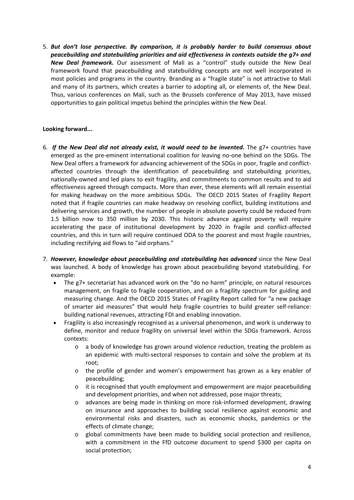5. *But don't lose perspective. By comparison, it is probably harder to build consensus about peacebuilding and statebuilding priorities and aid effectiveness in contexts outside the g7+ and New Deal framework.* Our assessment of Mali as a "control" study outside the New Deal framework found that peacebuilding and statebuilding concepts are not well incorporated in most policies and programs in the country. Branding as a "fragile state" is not attractive to Mali and many of its partners, which creates a barrier to adopting all, or elements of, the New Deal. Thus, various conferences on Mali, such as the Brussels conference of May 2013, have missed opportunities to gain political impetus behind the principles within the New Deal.

### **Looking forward...**

- 6. *If the New Deal did not already exist, it would need to be invented.* The g7+ countries have emerged as the pre-eminent international coalition for leaving no-one behind on the SDGs. The New Deal offers a framework for advancing achievement of the SDGs in poor, fragile and conflictaffected countries through the identification of peacebuilding and statebuilding priorities, nationally-owned and led plans to exit fragility, and commitments to common results and to aid effectiveness agreed through compacts. More than ever, these elements will all remain essential for making headway on the more ambitious SDGs. The OECD 2015 States of Fragility Report noted that if fragile countries can make headway on resolving conflict, building institutions and delivering services and growth, the number of people in absolute poverty could be reduced from 1.5 billion now to 350 million by 2030. This historic advance against poverty will require accelerating the pace of institutional development by 2020 in fragile and conflict-affected countries, and this in turn will require continued ODA to the poorest and most fragile countries, including rectifying aid flows to "aid orphans."
- 7. *However, knowledge about peacebuilding and statebuilding has advanced* since the New Deal was launched. A body of knowledge has grown about peacebuilding beyond statebuilding. For example:
	- The g7+ secretariat has advanced work on the "do no harm" principle, on natural resources management, on fragile to fragile cooperation, and on a fragility spectrum for guiding and measuring change. And the OECD 2015 States of Fragility Report called for "a new package of smarter aid measures" that would help fragile countries to build greater self-reliance: building national revenues, attracting FDI and enabling innovation.
	- Fragility is also increasingly recognised as a universal phenomenon, and work is underway to define, monitor and reduce fragility on universal level within the SDGs framework. Across contexts:
		- $\circ$  a body of knowledge has grown around violence reduction, treating the problem as an epidemic with multi-sectoral responses to contain and solve the problem at its root;
		- o the profile of gender and women's empowerment has grown as a key enabler of peacebuilding;
		- $\circ$  it is recognised that youth employment and empowerment are major peacebuilding and development priorities, and when not addressed, pose major threats;
		- o advances are being made in thinking on more risk-informed development, drawing on insurance and approaches to building social resilience against economic and environmental risks and disasters, such as economic shocks, pandemics or the effects of climate change;
		- o global commitments have been made to building social protection and resilience, with a commitment in the FfD outcome document to spend \$300 per capita on social protection;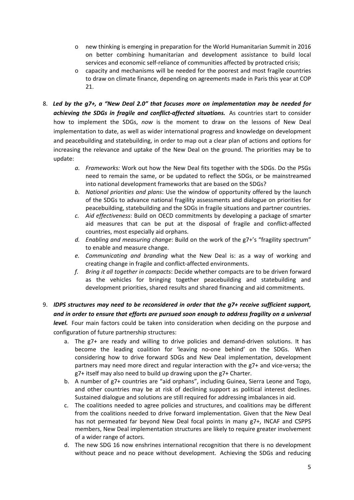- o new thinking is emerging in preparation for the World Humanitarian Summit in 2016 on better combining humanitarian and development assistance to build local services and economic self-reliance of communities affected by protracted crisis;
- o capacity and mechanisms will be needed for the poorest and most fragile countries to draw on climate finance, depending on agreements made in Paris this year at COP 21.
- 8. *Led by the g7+, a "New Deal 2.0" that focuses more on implementation may be needed for achieving the SDGs in fragile and conflict-affected situations.* As countries start to consider how to implement the SDGs, *now* is the moment to draw on the lessons of New Deal implementation to date, as well as wider international progress and knowledge on development and peacebuilding and statebuilding, in order to map out a clear plan of actions and options for increasing the relevance and uptake of the New Deal on the ground. The priorities may be to update:
	- *a. Frameworks:* Work out how the New Deal fits together with the SDGs. Do the PSGs need to remain the same, or be updated to reflect the SDGs, or be mainstreamed into national development frameworks that are based on the SDGs?
	- *b. National priorities and plans*: Use the window of opportunity offered by the launch of the SDGs to advance national fragility assessments and dialogue on priorities for peacebuilding, statebuilding and the SDGs in fragile situations and partner countries.
	- *c. Aid effectiveness*: Build on OECD commitments by developing a package of smarter aid measures that can be put at the disposal of fragile and conflict-affected countries, most especially aid orphans.
	- *d. Enabling and measuring change*: Build on the work of the g7+'s "fragility spectrum" to enable and measure change.
	- *e. Communicating and branding* what the New Deal is: as a way of working and creating change in fragile and conflict-affected environments.
	- *f. Bring it all together in compacts*: Decide whether compacts are to be driven forward as the vehicles for bringing together peacebuilding and statebuilding and development priorities, shared results and shared financing and aid commitments.
- 9. *IDPS structures may need to be reconsidered in order that the g7+ receive sufficient support, and in order to ensure that efforts are pursued soon enough to address fragility on a universal level.* Four main factors could be taken into consideration when deciding on the purpose and configuration of future partnership structures:
	- a. The g7+ are ready and willing to drive policies and demand-driven solutions. It has become the leading coalition for 'leaving no-one behind' on the SDGs. When considering how to drive forward SDGs and New Deal implementation, development partners may need more direct and regular interaction with the g7+ and vice-versa; the g7+ itself may also need to build up drawing upon the g7+ Charter.
	- b. A number of g7+ countries are "aid orphans", including Guinea, Sierra Leone and Togo, and other countries may be at risk of declining support as political interest declines. Sustained dialogue and solutions are still required for addressing imbalances in aid.
	- c. The coalitions needed to agree policies and structures, and coalitions may be different from the coalitions needed to drive forward implementation. Given that the New Deal has not permeated far beyond New Deal focal points in many g7+, INCAF and CSPPS members, New Deal implementation structures are likely to require greater involvement of a wider range of actors.
	- d. The new SDG 16 now enshrines international recognition that there is no development without peace and no peace without development. Achieving the SDGs and reducing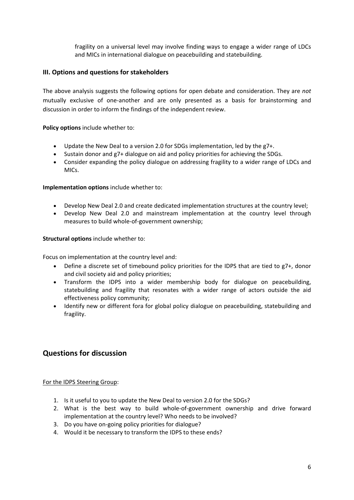fragility on a universal level may involve finding ways to engage a wider range of LDCs and MICs in international dialogue on peacebuilding and statebuilding.

### **III. Options and questions for stakeholders**

The above analysis suggests the following options for open debate and consideration. They are *not*  mutually exclusive of one-another and are only presented as a basis for brainstorming and discussion in order to inform the findings of the independent review.

**Policy options** include whether to:

- Update the New Deal to a version 2.0 for SDGs implementation, led by the g7+.
- Sustain donor and g7+ dialogue on aid and policy priorities for achieving the SDGs.
- Consider expanding the policy dialogue on addressing fragility to a wider range of LDCs and MICs.

#### **Implementation options** include whether to:

- Develop New Deal 2.0 and create dedicated implementation structures at the country level;
- Develop New Deal 2.0 and mainstream implementation at the country level through measures to build whole-of-government ownership;

#### **Structural options** include whether to:

Focus on implementation at the country level and:

- Define a discrete set of timebound policy priorities for the IDPS that are tied to g7+, donor and civil society aid and policy priorities;
- Transform the IDPS into a wider membership body for dialogue on peacebuilding, statebuilding and fragility that resonates with a wider range of actors outside the aid effectiveness policy community;
- Identify new or different fora for global policy dialogue on peacebuilding, statebuilding and fragility.

# **Questions for discussion**

For the IDPS Steering Group:

- 1. Is it useful to you to update the New Deal to version 2.0 for the SDGs?
- 2. What is the best way to build whole-of-government ownership and drive forward implementation at the country level? Who needs to be involved?
- 3. Do you have on-going policy priorities for dialogue?
- 4. Would it be necessary to transform the IDPS to these ends?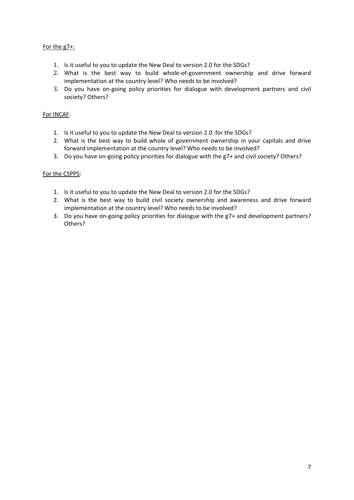## For the g7+:

- 1. Is it useful to you to update the New Deal to version 2.0 for the SDGs?
- 2. What is the best way to build whole-of-government ownership and drive forward implementation at the country level? Who needs to be involved?
- 3. Do you have on-going policy priorities for dialogue with development partners and civil society? Others?

### For INCAF:

- 1. Is it useful to you to update the New Deal to version 2.0 for the SDGs?
- 2. What is the best way to build whole of government ownership in your capitals and drive forward implementation at the country level? Who needs to be involved?
- 3. Do you have on-going policy priorities for dialogue with the g7+ and civil society? Others?

### For the CSPPS:

- 1. Is it useful to you to update the New Deal to version 2.0 for the SDGs?
- 2. What is the best way to build civil society ownership and awareness and drive forward implementation at the country level? Who needs to be involved?
- 3. Do you have on-going policy priorities for dialogue with the g7+ and development partners? Others?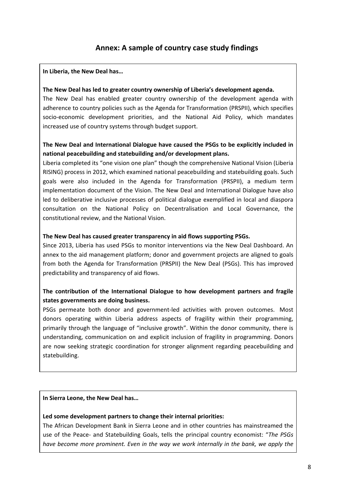# **Annex: A sample of country case study findings**

#### **In Liberia, the New Deal has…**

#### **The New Deal has led to greater country ownership of Liberia's development agenda.**

The New Deal has enabled greater country ownership of the development agenda with adherence to country policies such as the Agenda for Transformation (PRSPII), which specifies socio-economic development priorities, and the National Aid Policy, which mandates increased use of country systems through budget support.

## **The New Deal and International Dialogue have caused the PSGs to be explicitly included in national peacebuilding and statebuilding and/or development plans.**

Liberia completed its "one vision one plan" though the comprehensive National Vision (Liberia RISING) process in 2012, which examined national peacebuilding and statebuilding goals. Such goals were also included in the Agenda for Transformation (PRSPII), a medium term implementation document of the Vision. The New Deal and International Dialogue have also led to deliberative inclusive processes of political dialogue exemplified in local and diaspora consultation on the National Policy on Decentralisation and Local Governance, the constitutional review, and the National Vision.

#### **The New Deal has caused greater transparency in aid flows supporting PSGs.**

Since 2013, Liberia has used PSGs to monitor interventions via the New Deal Dashboard. An annex to the aid management platform; donor and government projects are aligned to goals from both the Agenda for Transformation (PRSPII) the New Deal (PSGs). This has improved predictability and transparency of aid flows.

## **The contribution of the International Dialogue to how development partners and fragile states governments are doing business.**

PSGs permeate both donor and government-led activities with proven outcomes. Most donors operating within Liberia address aspects of fragility within their programming, primarily through the language of "inclusive growth". Within the donor community, there is understanding, communication on and explicit inclusion of fragility in programming. Donors are now seeking strategic coordination for stronger alignment regarding peacebuilding and statebuilding.

#### **In Sierra Leone, the New Deal has…**

#### **Led some development partners to change their internal priorities:**

The African Development Bank in Sierra Leone and in other countries has mainstreamed the use of the Peace- and Statebuilding Goals, tells the principal country economist: "*The PSGs have become more prominent. Even in the way we work internally in the bank, we apply the*